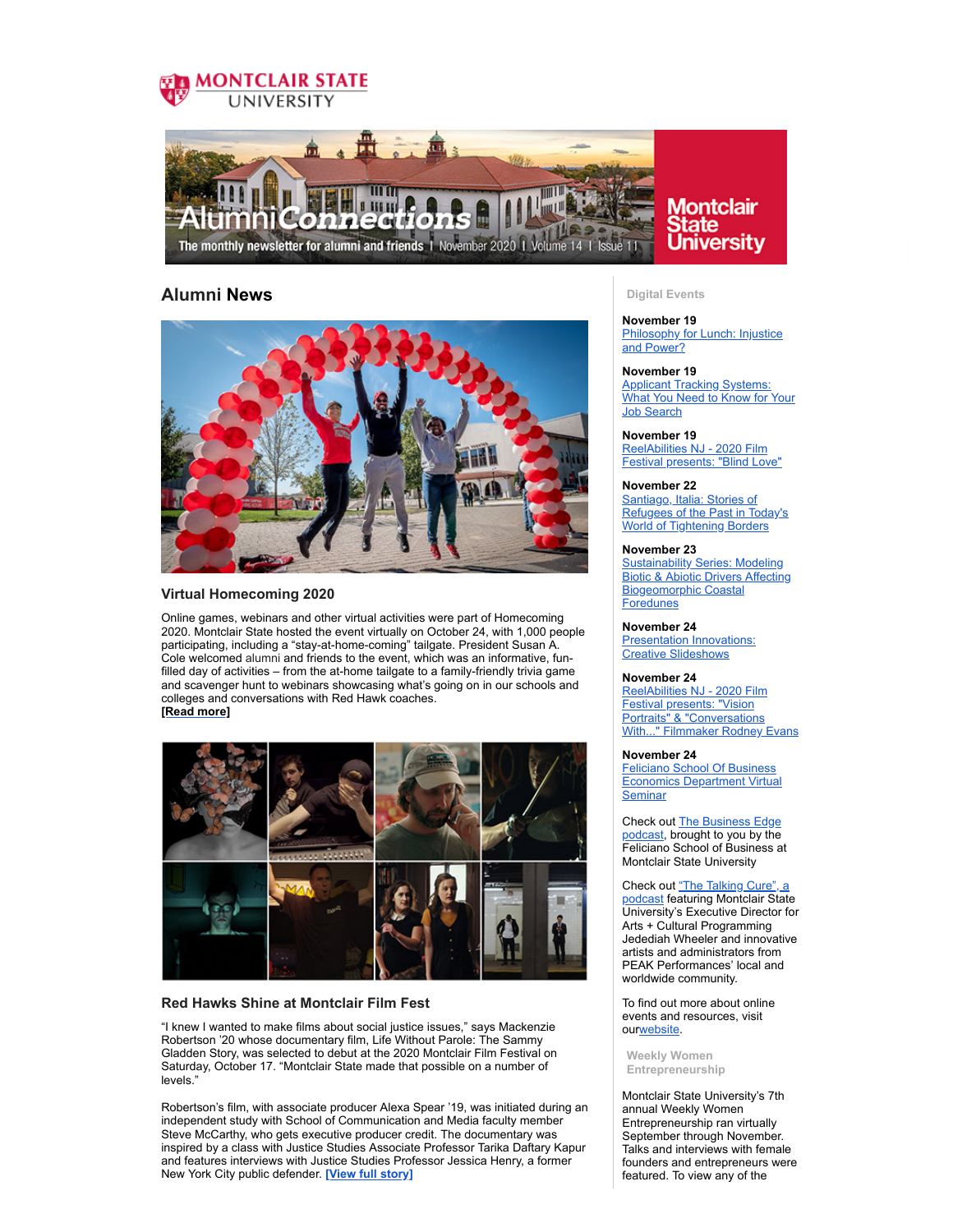



## **Alumni News**



#### **Virtual Homecoming 2020**

Online games, webinars and other virtual activities were part of Homecoming 2020. Montclair State hosted the event virtually on October 24, with 1,000 people participating, including a "stay-at-home-coming" tailgate. President Susan A. Cole welcomed alumni and friends to the event, which was an informative, funfilled day of activities – from the at-home tailgate to a family-friendly trivia game and scavenger hunt to webinars showcasing what's going on in our schools and colleges and conversations with Red Hawk coaches. **[Read [more\]](https://montclairconnect.org/page.redir?target=https%3a%2f%2fwww.montclair.edu%2falumni%2f2020%2f11%2f17%2fcelebrating-homecoming-2020%2f&srcid=37248&srctid=1&erid=39081471&trid=87b0192d-8369-480e-9d6c-9976274b5504)**



#### **Red Hawks Shine at Montclair Film Fest**

"I knew I wanted to make films about social justice issues," says Mackenzie Robertson '20 whose documentary film, Life Without Parole: The Sammy Gladden Story, was selected to debut at the 2020 Montclair Film Festival on Saturday, October 17. "Montclair State made that possible on a number of levels."

Robertson's film, with associate producer Alexa Spear '19, was initiated during an independent study with School of Communication and Media faculty member Steve McCarthy, who gets executive producer credit. The documentary was inspired by a class with Justice Studies Associate Professor Tarika Daftary Kapur and features interviews with Justice Studies Professor Jessica Henry, a former New York City public defender. **[View full [story\]](https://montclairconnect.org/page.redir?target=https%3a%2f%2fwww.montclair.edu%2fnewscenter%2f2020%2f10%2f16%2fred-hawks-shine-at-montclair-film-fest%2f&srcid=37248&srctid=1&erid=39081471&trid=87b0192d-8369-480e-9d6c-9976274b5504)**

#### **Digital Events**

**November 19 [Philosophy](https://montclairconnect.org/page.redir?target=https%3a%2f%2fmontclairconnect.org%2fget-involved%2fevent-detail%3fcid%3d6%26ceid%3d2186%26cerid%3d0%26cdt%3d11%252f19%252f2020&srcid=37248&srctid=1&erid=39081471&trid=87b0192d-8369-480e-9d6c-9976274b5504) for Lunch: Injustice** and Power?

#### **November 19**

**Applicant Tracking [Systems:](https://montclairconnect.org/page.redir?target=https%3a%2f%2fmontclairconnect.org%2fget-involved%2fevent-detail%3fcid%3d6%26ceid%3d2113%26cerid%3d0%26cdt%3d11%252f19%252f2020&srcid=37248&srctid=1&erid=39081471&trid=87b0192d-8369-480e-9d6c-9976274b5504)** What You Need to Know for Your Job Search

## **November 19**

[ReelAbilities](https://montclairconnect.org/page.redir?target=https%3a%2f%2fmontclairconnect.org%2fget-involved%2fevent-detail%3fcid%3d6%26ceid%3d2183%26cerid%3d0%26cdt%3d11%252f19%252f2020&srcid=37248&srctid=1&erid=39081471&trid=87b0192d-8369-480e-9d6c-9976274b5504) NJ - 2020 Film Festival presents: "Blind Love"

#### **November 22**

Santiago, Italia: Stories of Refugees of the Past in Today's World of [Tightening](https://montclairconnect.org/page.redir?target=https%3a%2f%2fmontclairconnect.org%2fget-involved%2fevent-detail%3fcid%3d6%26ceid%3d2168%26cerid%3d0%26cdt%3d11%252f22%252f2020&srcid=37248&srctid=1&erid=39081471&trid=87b0192d-8369-480e-9d6c-9976274b5504) Borders

#### **November 23**

**Sustainability Series: Modeling** Biotic & Abiotic Drivers Affecting [Biogeomorphic](https://montclairconnect.org/page.redir?target=https%3a%2f%2fmontclairconnect.org%2fget-involved%2fevent-detail%3fcid%3d6%26ceid%3d2127%26cerid%3d0%26cdt%3d11%252f23%252f2020&srcid=37248&srctid=1&erid=39081471&trid=87b0192d-8369-480e-9d6c-9976274b5504) Coastal Foredunes

#### **November 24**

**[Presentation](https://montclairconnect.org/page.redir?target=https%3a%2f%2fmontclairconnect.org%2fget-involved%2fevent-detail%3fcid%3d6%26ceid%3d2166%26cerid%3d0%26cdt%3d11%252f24%252f2020&srcid=37248&srctid=1&erid=39081471&trid=87b0192d-8369-480e-9d6c-9976274b5504) Innovations:** Creative Slideshows

#### **November 24**

ReelAbilities NJ - 2020 Film **Festival presents: "Vision** Portraits" & ["Conversations](https://montclairconnect.org/page.redir?target=https%3a%2f%2fmontclairconnect.org%2fget-involved%2fevent-detail%3fcid%3d6%26ceid%3d2184%26cerid%3d0%26cdt%3d11%252f24%252f2020&srcid=37248&srctid=1&erid=39081471&trid=87b0192d-8369-480e-9d6c-9976274b5504) With..." Filmmaker Rodney Evans

#### **November 24**

Feliciano School Of Business Economics [Department](https://montclairconnect.org/page.redir?target=https%3a%2f%2fmontclairconnect.org%2fget-involved%2fevent-calendar%3fcid%3d6%26ceid%3d2188%26cerid%3d0%26cdt%3d11%252f24%252f2020%26erid%3d38908598%26trid%3d40aaf176-0138-4b2b-b0de-5e411a63bc6c&srcid=37248&srctid=1&erid=39081471&trid=87b0192d-8369-480e-9d6c-9976274b5504) Virtual **Seminar** 

Check out The [Business](https://montclairconnect.org/page.redir?target=https%3a%2f%2fwww.buzzsprout.com%2f218773&srcid=37248&srctid=1&erid=39081471&trid=87b0192d-8369-480e-9d6c-9976274b5504) Edge podcast, brought to you by the Feliciano School of Business at Montclair State University

Check out "The Talking Cure", a podcast featuring [Montclair](https://montclairconnect.org/page.redir?target=https%3a%2f%2fwww.peakperfs.org%2fpodcasts%2f&srcid=37248&srctid=1&erid=39081471&trid=87b0192d-8369-480e-9d6c-9976274b5504) State University's Executive Director for Arts + Cultural Programming Jedediah Wheeler and innovative artists and administrators from PEAK Performances' local and worldwide community.

To find out more about online events and resources, visit our[website.](https://montclairconnect.org/page.redir?target=https%3a%2f%2fwww.montclair.edu%2falumni%2fonline-programs%2f&srcid=37248&srctid=1&erid=39081471&trid=87b0192d-8369-480e-9d6c-9976274b5504)

**Weekly Women Entrepreneurship**

Montclair State University's 7th annual Weekly Women Entrepreneurship ran virtually September through November. Talks and interviews with female founders and entrepreneurs were featured. To view any of the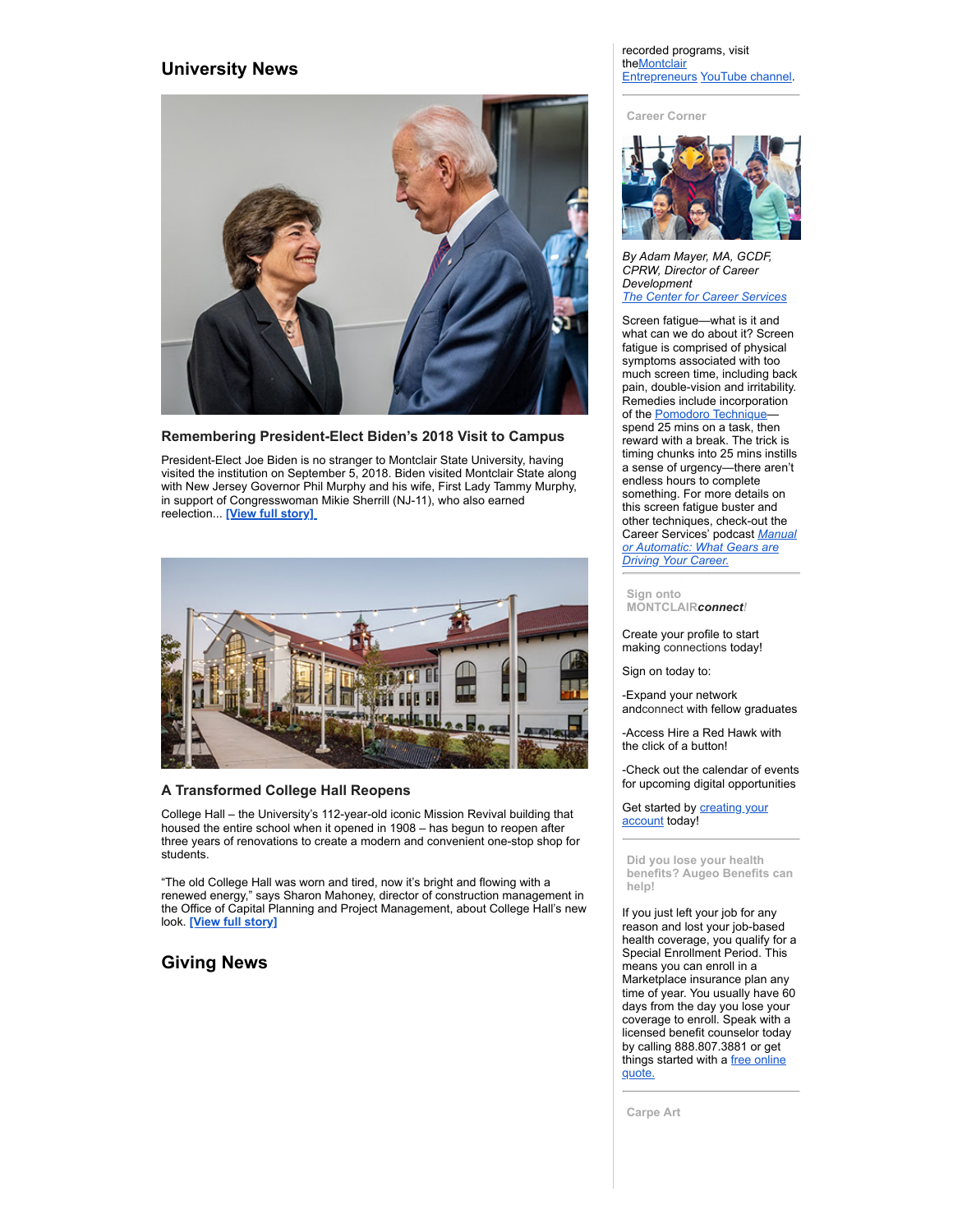## **University News**



**Remembering President-Elect Biden's 2018 Visit to Campus**

President-Elect Joe Biden is no stranger to Montclair State University, having visited the institution on September 5, 2018. Biden visited Montclair State along with New Jersey Governor Phil Murphy and his wife, First Lady Tammy Murphy, in support of Congresswoman Mikie Sherrill (NJ-11), who also earned reelection... **[View full [story\]](https://montclairconnect.org/page.redir?target=https%3a%2f%2fwww.montclair.edu%2fnewscenter%2f2020%2f11%2f08%2fpresident-elect-biden-2018-montclair-state-visit%2f%3futm_source%3dcarousel%26utm_campaign%3dhomepage_features%26utm_medium%3dmontclair.edu%26utm_content%3d1&srcid=37248&srctid=1&erid=39081471&trid=87b0192d-8369-480e-9d6c-9976274b5504)**



## **A Transformed College Hall Reopens**

College Hall – the University's 112-year-old iconic Mission Revival building that housed the entire school when it opened in 1908 – has begun to reopen after three years of renovations to create a modern and convenient one-stop shop for students.

"The old College Hall was worn and tired, now it's bright and flowing with a renewed energy," says Sharon Mahoney, director of construction management in the Office of Capital Planning and Project Management, about College Hall's new look. **[View full [story\]](https://montclairconnect.org/page.redir?target=https%3a%2f%2fwww.montclair.edu%2fnewscenter%2f2020%2f10%2f22%2fa-transformed-college-hall-reopens%2f&srcid=37248&srctid=1&erid=39081471&trid=87b0192d-8369-480e-9d6c-9976274b5504)**

# **Giving News**

#### recorded programs, visit theMontclair [Entrepreneurs](https://montclairconnect.org/page.redir?target=https%3a%2f%2fwww.meetup.com%2fMontclair-Entrepreneurs%2f&srcid=37248&srctid=1&erid=39081471&trid=87b0192d-8369-480e-9d6c-9976274b5504) [YouTube](https://montclairconnect.org/page.redir?target=https%3a%2f%2fwww.youtube.com%2fuser%2fFelicianoCenter&srcid=37248&srctid=1&erid=39081471&trid=87b0192d-8369-480e-9d6c-9976274b5504) channel.

**Career Corner**



*By Adam Mayer, MA, GCDF, CPRW, Director of Career Development The Center for Career [Services](https://montclairconnect.org/page.redir?target=https%3a%2f%2fwww.montclair.edu%2fcareer-services%2f&srcid=37248&srctid=1&erid=39081471&trid=87b0192d-8369-480e-9d6c-9976274b5504)*

Screen fatigue—what is it and what can we do about it? Screen fatigue is comprised of physical symptoms associated with too much screen time, including back pain, double-vision and irritability. Remedies include incorporation of the [Pomodoro](https://montclairconnect.org/page.redir?target=https%3a%2f%2ffrancescocirillo.com%2fpages%2fpomodoro-technique&srcid=37248&srctid=1&erid=39081471&trid=87b0192d-8369-480e-9d6c-9976274b5504) Techniquespend 25 mins on a task, then reward with a break. The trick is timing chunks into 25 mins instills a sense of urgency—there aren't endless hours to complete something. For more details on this screen fatigue buster and other techniques, check-out the Career Services' podcast *Manual or [Automatic:](https://montclairconnect.org/page.redir?target=https%3a%2f%2fsoundcloud.com%2fwmsc%2fepisode-27-screen-fatigue%3fin%3dwmsc%2fsets%2fmanual-or-automatic-what-gears&srcid=37248&srctid=1&erid=39081471&trid=87b0192d-8369-480e-9d6c-9976274b5504) What Gears are Driving Your Career.*

Create your profile to start making connections today!

Sign on today to:

-Expand your network andconnect with fellow graduates

-Access Hire a Red Hawk with the click of a button!

-Check out the calendar of events for upcoming digital opportunities

Get started by **[creating](https://montclairconnect.org/page.redir?target=http%3a%2f%2fconnect.montclair.edu&srcid=37248&srctid=1&erid=39081471&trid=87b0192d-8369-480e-9d6c-9976274b5504) your** account today!

**Did you lose your health benefits? Augeo Benefits can help!**

If you just left your job for any reason and lost your job-based health coverage, you qualify for a Special Enrollment Period. This means you can enroll in a Marketplace insurance plan any time of year. You usually have 60 days from the day you lose your coverage to enroll. Speak with a licensed benefit counselor today by calling 888.807.3881 or get things [started](https://montclairconnect.org/page.redir?target=http%3a%2f%2fmsuaa.augeobenefits.com&srcid=37248&srctid=1&erid=39081471&trid=87b0192d-8369-480e-9d6c-9976274b5504) with a free online quote.

**Carpe Art**

**Sign onto MONTCLAIR***connect!*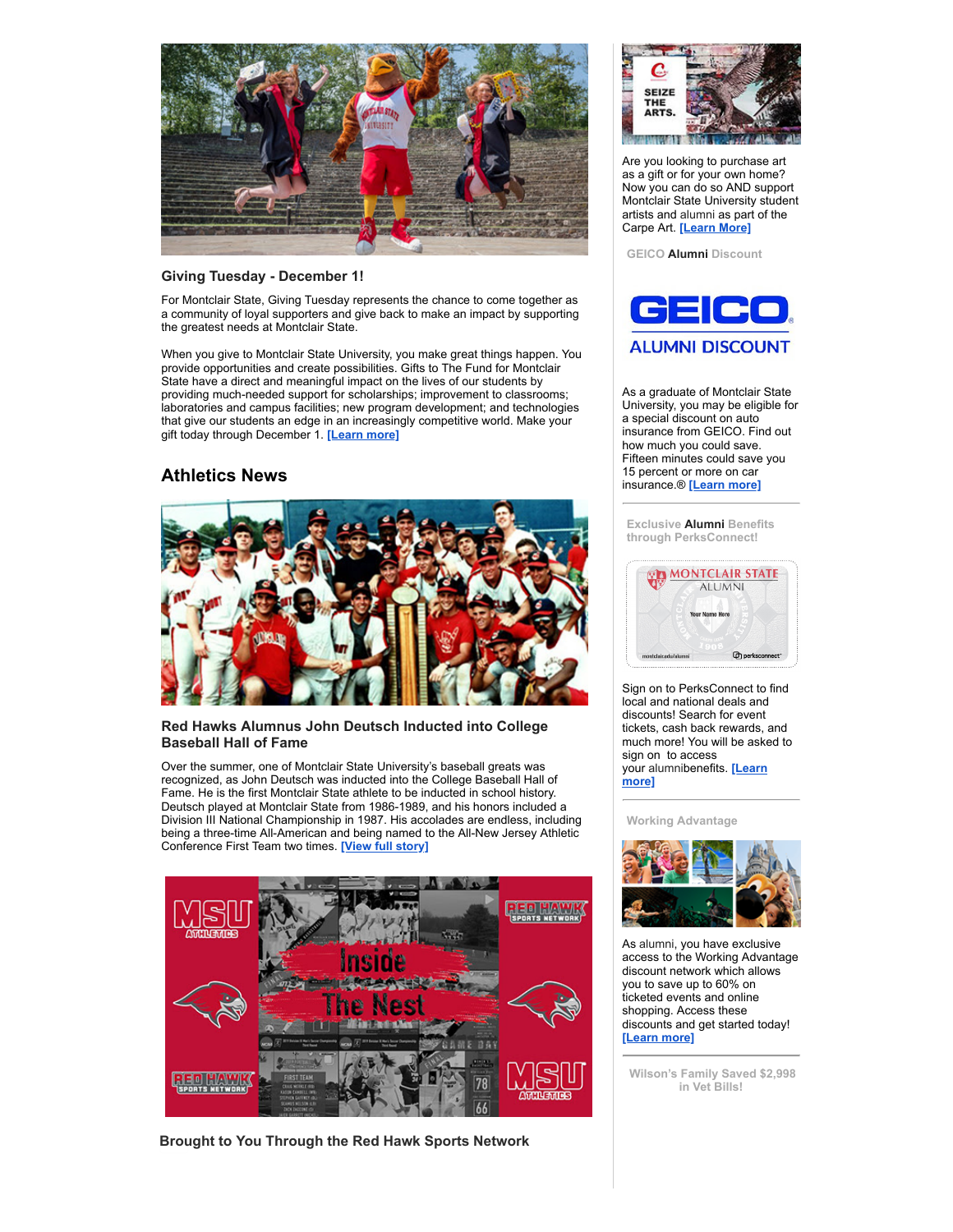

## **Giving Tuesday - December 1!**

For Montclair State, Giving Tuesday represents the chance to come together as a community of loyal supporters and give back to make an impact by supporting the greatest needs at Montclair State.

When you give to Montclair State University, you make great things happen. You provide opportunities and create possibilities. Gifts to The Fund for Montclair State have a direct and meaningful impact on the lives of our students by providing much-needed support for scholarships; improvement to classrooms; laboratories and campus facilities; new program development; and technologies that give our students an edge in an increasingly competitive world. Make your gift today through December 1. **[\[Learn](https://montclairconnect.org/page.redir?target=https%3a%2f%2fcrowdfund.montclair.edu%2fproject%2f21504&srcid=37248&srctid=1&erid=39081471&trid=87b0192d-8369-480e-9d6c-9976274b5504) more]**

# **Athletics News**



## **Red Hawks Alumnus John Deutsch Inducted into College Baseball Hall of Fame**

Over the summer, one of Montclair State University's baseball greats was recognized, as John Deutsch was inducted into the College Baseball Hall of Fame. He is the first Montclair State athlete to be inducted in school history. Deutsch played at Montclair State from 1986-1989, and his honors included a Division III National Championship in 1987. His accolades are endless, including being a three-time All-American and being named to the All-New Jersey Athletic Conference First Team two times. **[View full [story\]](https://montclairconnect.org/page.redir?target=https%3a%2f%2fthemontclarion.org%2fsports%2fred-hawks-alumnus-john-deutsch-inducted-into-college-baseball-hall-of-fame%2f&srcid=37248&srctid=1&erid=39081471&trid=87b0192d-8369-480e-9d6c-9976274b5504)**



**Brought to You Through the Red Hawk Sports Network**



Are you looking to purchase art as a gift or for your own home? Now you can do so AND support Montclair State University student artists and alumni as part of the Carpe Art. **[\[Learn](https://montclairconnect.org/page.redir?target=https%3a%2f%2fwww.carpeart.com%2f&srcid=37248&srctid=1&erid=39081471&trid=87b0192d-8369-480e-9d6c-9976274b5504) More]**

**GEICO Alumni Discount**



As a graduate of Montclair State University, you may be eligible for a special discount on auto insurance from GEICO. Find out how much you could save. Fifteen minutes could save you 15 percent or more on car insurance.® **[\[Learn](https://montclairconnect.org/page.redir?target=https%3a%2f%2fwww.geico.com%2flandingpage%2fmember-discount%2f%3flogo%3d17794%26utm_source%3dmontclair-state-university%26utm_medium%3dbanner%26utm_campaign%3dsponsored-alumni&srcid=37248&srctid=1&erid=39081471&trid=87b0192d-8369-480e-9d6c-9976274b5504) more]**

**Exclusive Alumni Benefits through PerksConnect!**



Sign on to PerksConnect to find local and national deals and discounts! Search for event tickets, cash back rewards, and much more! You will be asked to sign on to access your [alumnibenefits.](https://montclairconnect.org/page.redir?target=https%3a%2f%2fwww.montclair.edu%2falumni%2fbenefits-and-services%2fdiscounts-2&srcid=37248&srctid=1&erid=39081471&trid=87b0192d-8369-480e-9d6c-9976274b5504) **[Learn more]**

**Working Advantage**



As alumni, you have exclusive access to the Working Advantage discount network which allows you to save up to 60% on ticketed events and online shopping. Access these discounts and get started today! **[\[Learn](https://montclairconnect.org/page.redir?target=https%3a%2f%2fwww.montclair.edu%2falumni%2fbenefits-and-services%2fdiscounts-2&srcid=37248&srctid=1&erid=39081471&trid=87b0192d-8369-480e-9d6c-9976274b5504) more]**

**Wilson's Family Saved \$2,998 in Vet Bills!**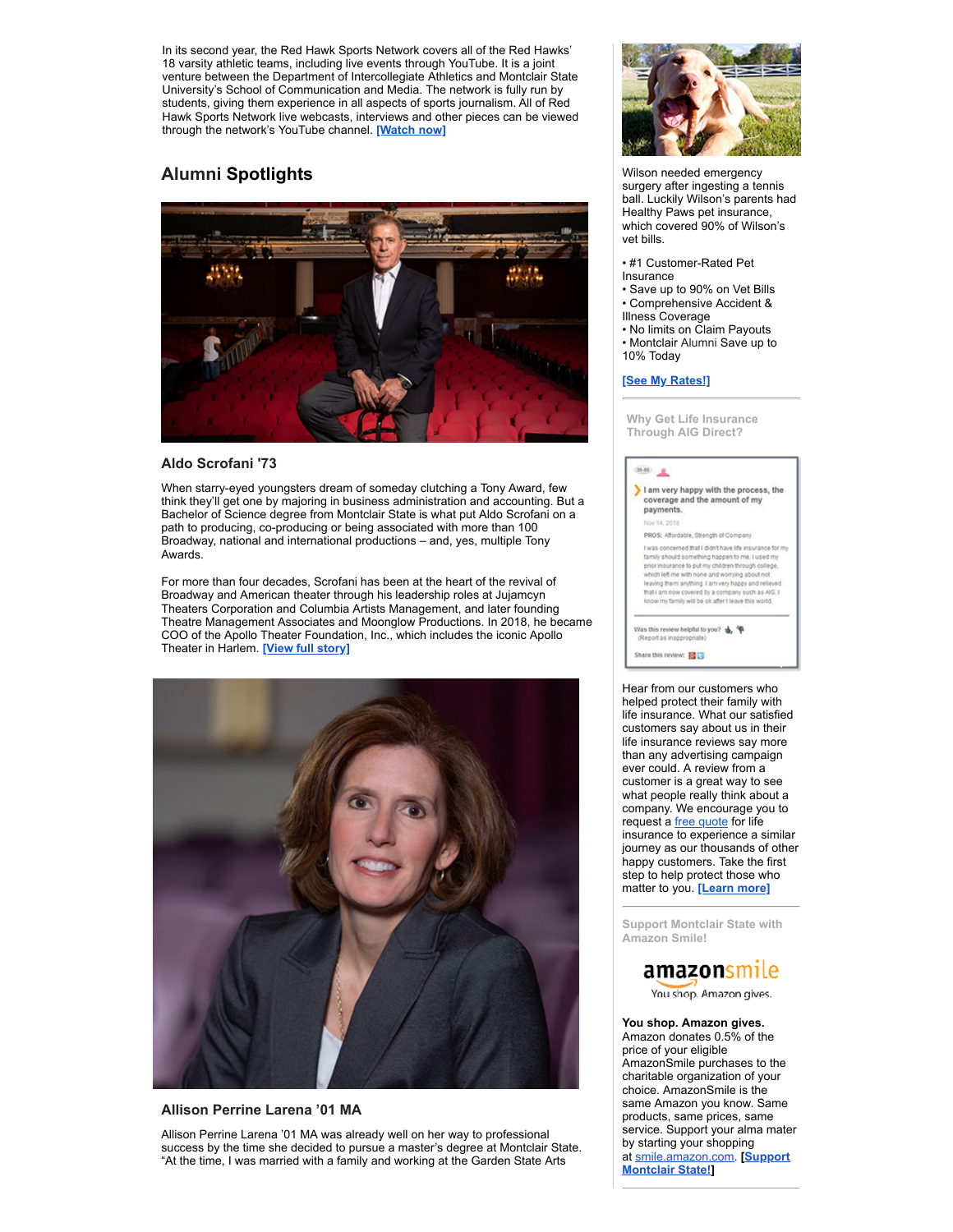In its second year, the Red Hawk Sports Network covers all of the Red Hawks' 18 varsity athletic teams, including live events through YouTube. It is a joint venture between the Department of Intercollegiate Athletics and Montclair State University's School of Communication and Media. The network is fully run by students, giving them experience in all aspects of sports journalism. All of Red Hawk Sports Network live webcasts, interviews and other pieces can be viewed through the network's YouTube channel. **[\[Watch](https://montclairconnect.org/page.redir?target=https%3a%2f%2fthemontclarion.org%2fsports%2fred-hawks-alumnus-john-deutsch-inducted-into-college-baseball-hall-of-fame%2f&srcid=37248&srctid=1&erid=39081471&trid=87b0192d-8369-480e-9d6c-9976274b5504) now]**

# **Alumni Spotlights**



## **Aldo Scrofani '73**

When starry-eyed youngsters dream of someday clutching a Tony Award, few think they'll get one by majoring in business administration and accounting. But a Bachelor of Science degree from Montclair State is what put Aldo Scrofani on a path to producing, co-producing or being associated with more than 100 Broadway, national and international productions – and, yes, multiple Tony Awards.

For more than four decades, Scrofani has been at the heart of the revival of Broadway and American theater through his leadership roles at Jujamcyn Theaters Corporation and Columbia Artists Management, and later founding Theatre Management Associates and Moonglow Productions. In 2018, he became COO of the Apollo Theater Foundation, Inc., which includes the iconic Apollo Theater in Harlem. **[View full [story\]](https://montclairconnect.org/page.redir?target=https%3a%2f%2fwww.montclair.edu%2falumni%2f2020%2f01%2f16%2faldo-scrofani-73%2f&srcid=37248&srctid=1&erid=39081471&trid=87b0192d-8369-480e-9d6c-9976274b5504)**



## **Allison Perrine Larena '01 MA**

Allison Perrine Larena '01 MA was already well on her way to professional success by the time she decided to pursue a master's degree at Montclair State. "At the time, I was married with a family and working at the Garden State Arts



Wilson needed emergency surgery after ingesting a tennis ball. Luckily Wilson's parents had Healthy Paws pet insurance, which covered 90% of Wilson's vet bills.

- #1 Customer-Rated Pet
- Insurance
- Save up to 90% on Vet Bills • Comprehensive Accident &
- Illness Coverage
- No limits on Claim Payouts
- Montclair Alumni Save up to 10% Today

#### **[See My [Rates!\]](https://montclairconnect.org/page.redir?target=https%3a%2f%2fwww.healthypawspetinsurance.com%2fpethealth%2f%3faffid%3daaisaff%26subid%3dmontclair%26utm_source%3dAAIS%26utm_medium%3dreferral%26utm_campaign%3dmontclair-email-sept-2018&srcid=37248&srctid=1&erid=39081471&trid=87b0192d-8369-480e-9d6c-9976274b5504)**

**Why Get Life Insurance Through AIG Direct?**

| I am very happy with the process, the<br>coverage and the amount of my                                                                                                                                                                                                                                                                                                                  |
|-----------------------------------------------------------------------------------------------------------------------------------------------------------------------------------------------------------------------------------------------------------------------------------------------------------------------------------------------------------------------------------------|
| payments.                                                                                                                                                                                                                                                                                                                                                                               |
| Nov 14, 2018                                                                                                                                                                                                                                                                                                                                                                            |
| PROS: Affordable, Strength of Company                                                                                                                                                                                                                                                                                                                                                   |
| I was concerned that I didn't have life insurance for my<br>family should something happen to me. I used my<br>prior insurance to put my children through college,<br>which left me with none and worrying about not<br>leaving them anything. I am very happy and relieved<br>that i am now covered by a company such as AIG. I<br>know my family will be ok after I leave this world. |
| Was this review helpful to you?<br>(Report as inappropriate)                                                                                                                                                                                                                                                                                                                            |
| Share this review: 80                                                                                                                                                                                                                                                                                                                                                                   |

Hear from our customers who helped protect their family with life insurance. What our satisfied customers say about us in their life insurance reviews say more than any advertising campaign ever could. A review from a customer is a great way to see what people really think about a company. We encourage you to request a free [quote](https://montclairconnect.org/page.redir?target=https%3a%2f%2fwww.aigdirect.com%2fmontclair%2fprotect-your-family%3fDNIS%3d8252&srcid=37248&srctid=1&erid=39081471&trid=87b0192d-8369-480e-9d6c-9976274b5504) for life insurance to experience a similar journey as our thousands of other happy customers. Take the first step to help protect those who matter to you. **[\[Learn](https://montclairconnect.org/page.redir?target=https%3a%2f%2fwww.montclair.edu%2falumni%2fbenefits-and-services%2fhome-auto-pet-and-other-insurance-products%2f&srcid=37248&srctid=1&erid=39081471&trid=87b0192d-8369-480e-9d6c-9976274b5504) more]**

**Support Montclair State with Amazon Smile!**

# amazonsmile

You shop. Amazon gives.

**You shop. Amazon gives.** Amazon donates 0.5% of the price of your eligible AmazonSmile purchases to the charitable organization of your choice. AmazonSmile is the same Amazon you know. Same products, same prices, same service. Support your alma mater by starting your shopping at [smile.amazon.com](https://montclairconnect.org/page.redir?target=http%3a%2f%2fsmile.amazon.com%2f&srcid=37248&srctid=1&erid=39081471&trid=87b0192d-8369-480e-9d6c-9976274b5504)[.](https://montclairconnect.org/page.redir?target=https%3a%2f%2fmontclairconnect.org%2fpage.redir%3ftarget%3dhttp%253a%252f%252fsmile.amazon.com%252fch%252f22-6017209%26srcid%3d34764%26srctid%3d1%26erid%3d32335029%26trid%3dbcbef94c-b631-4ab0-8ce2-34146eb91c70&srcid=37248&srctid=1&erid=39081471&trid=87b0192d-8369-480e-9d6c-9976274b5504) **[Support Montclair State!]**